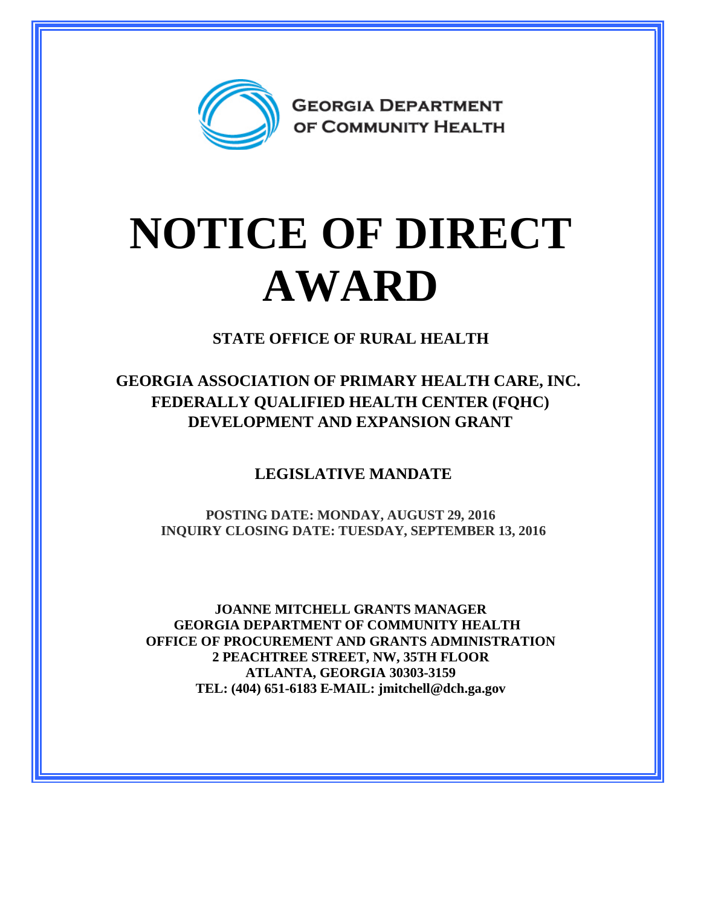

## **NOTICE OF DIRECT AWARD**

**STATE OFFICE OF RURAL HEALTH**

**GEORGIA ASSOCIATION OF PRIMARY HEALTH CARE, INC. FEDERALLY QUALIFIED HEALTH CENTER (FQHC) DEVELOPMENT AND EXPANSION GRANT**

**LEGISLATIVE MANDATE**

**POSTING DATE: MONDAY, AUGUST 29, 2016 INQUIRY CLOSING DATE: TUESDAY, SEPTEMBER 13, 2016**

**JOANNE MITCHELL GRANTS MANAGER GEORGIA DEPARTMENT OF COMMUNITY HEALTH OFFICE OF PROCUREMENT AND GRANTS ADMINISTRATION 2 PEACHTREE STREET, NW, 35TH FLOOR ATLANTA, GEORGIA 30303-3159 TEL: (404) 651-6183 E-MAIL: jmitchell@dch.ga.gov**